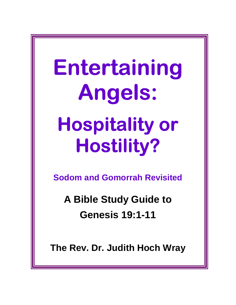# Entertaining Angels: Angels: Hospitality or Hostility?

**Sodom and Gomorrah Revisited** 

**A Bible Study Guide to Genesis 19:1-11** 

**The Rev. Dr. Judith Hoch Wray**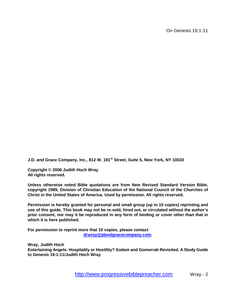On Genesis 19:1-11

**J.D. and Grace Company, Inc., 812 W. 181st Street, Suite 5, New York, NY 10033** 

**Copyright © 2006 Judith Hoch Wray All rights reserved.** 

**Unless otherwise noted Bible quotations are from New Revised Standard Version Bible, copyright 1989, Division of Christian Education of the National Council of the Churches of Christ in the United States of America. Used by permission. All rights reserved.** 

**Permission is hereby granted for personal and small group (up to 10 copies) reprinting and use of this guide. This book may not be re-sold, hired out, or circulated without the author's prior consent, nor may it be reproduced in any form of binding or cover other than that in which it is here published.** 

**For permission to reprint m[ore that 10 copies, please contact](mailto:drwray@jdandgrace.com)  drwray@jdandgracecompany.com.** 

**Wray, Judith Hoch Entertaining Angels: Hospitality or Hostility? Sodom and Gomorrah Revisited. A Study Guide to Genesis 19:1-11/Judith Hoch Wray** 

http://www.progressivebiblepreacher.com Wray - 2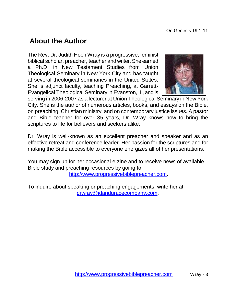## **About the Author**

The Rev. Dr. Judith Hoch Wray is a progressive, feminist biblical scholar, preacher, teacher and writer. She earned a Ph.D. in New Testament Studies from Union Theological Seminary in New York City and has taught at several theological seminaries in the United States. She is adjunct faculty, teaching Preaching, at Garrett-Evangelical Theological Seminary in Evanston, IL, and is



serving in 2006-2007 as a lecturer at Union Theological Seminary in New York City. She is the author of numerous articles, books, and essays on the Bible, on preaching, Christian ministry, and on contemporary justice issues. A pastor and Bible teacher for over 35 years, Dr. Wray knows how to bring the scriptures to life for believers and seekers alike.

Dr. Wray is well-known as an excellent preacher and speaker and as an effective retreat and conference leader. Her passion for the scriptures and for making the Bible accessible to everyone energizes all of her presentations.

You may sign up for her occasional e-zine and to receive news of available Bible study and preaching resources by going to [http://www.progressivebiblepreacher.com.](http://www.progressivebiblepreacher.com/)

To inquire about speaking or preaching engagements, write her at [drwray@jdandgracecompany.com.](mailto:drwray@jdandgrace.com)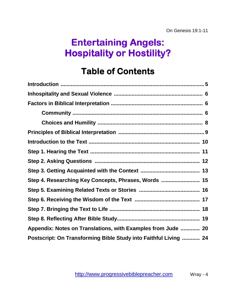# Entertaining Angels: Hospitality or Hostility?

# **Table of Contents**

| Step 4. Researching Key Concepts, Phrases, Words  15             |
|------------------------------------------------------------------|
|                                                                  |
|                                                                  |
|                                                                  |
|                                                                  |
| Appendix: Notes on Translations, with Examples from Jude  20     |
| Postscript: On Transforming Bible Study into Faithful Living  24 |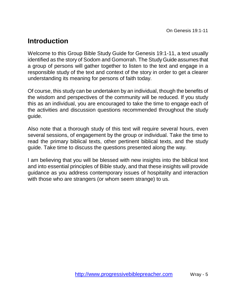## **Introduction**

Welcome to this Group Bible Study Guide for Genesis 19:1-11, a text usually identified as the story of Sodom and Gomorrah. The Study Guide assumes that a group of persons will gather together to listen to the text and engage in a responsible study of the text and context of the story in order to get a clearer understanding its meaning for persons of faith today.

Of course, this study can be undertaken by an individual, though the benefits of the wisdom and perspectives of the community will be reduced. If you study this as an individual, you are encouraged to take the time to engage each of the activities and discussion questions recommended throughout the study guide.

Also note that a thorough study of this text will require several hours, even several sessions, of engagement by the group or individual. Take the time to read the primary biblical texts, other pertinent biblical texts, and the study guide. Take time to discuss the questions presented along the way.

I am believing that you will be blessed with new insights into the biblical text and into essential principles of Bible study, and that these insights will provide guidance as you address contemporary issues of hospitality and interaction with those who are strangers (or whom seem strange) to us.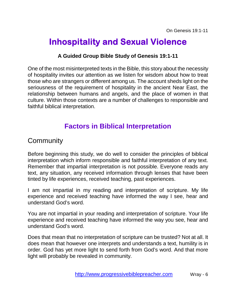# **Inhospitality and Sexual Violence**

#### **A Guided Group Bible Study of Genesis 19:1-11**

One of the most misinterpreted texts in the Bible, this story about the necessity of hospitality invites our attention as we listen for wisdom about how to treat those who are strangers or different among us. The account sheds light on the seriousness of the requirement of hospitality in the ancient Near East, the relationship between humans and angels, and the place of women in that culture. Within those contexts are a number of challenges to responsible and faithful biblical interpretation.

## **Factors in Biblical Interpretation**

## **Community**

Before beginning this study, we do well to consider the principles of biblical interpretation which inform responsible and faithful interpretation of any text. Remember that impartial interpretation is not possible. Everyone reads any text, any situation, any received information through lenses that have been tinted by life experiences, received teaching, past experiences.

I am not impartial in my reading and interpretation of scripture. My life experience and received teaching have informed the way I see, hear and understand God's word.

You are not impartial in your reading and interpretation of scripture. Your life experience and received teaching have informed the way you see, hear and understand God's word.

Does that mean that no interpretation of scripture can be trusted? Not at all. It does mean that however one interprets and understands a text, humility is in order. God has yet more light to send forth from God's word. And that more light will probably be revealed in community.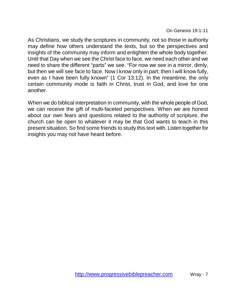As Christians, we study the scriptures in community, not so those in authority may define how others understand the texts, but so the perspectives and insights of the community may inform and enlighten the whole body together. Until that Day when we see the Christ face to face, we need each other and we need to share the different "parts" we see. "For now we see in a mirror, dimly, but then we will see face to face. Now I know only in part; then I will know fully, even as I have been fully known" (1 Cor 13:12). In the meantime, the only certain community mode is faith in Christ, trust in God, and love for one another.

When we do biblical interpretation in community, with the whole people of God, we can receive the gift of multi-faceted perspectives. When we are honest about our own fears and questions related to the authority of scripture, the church can be open to whatever it may be that God wants to teach in this present situation. So find some friends to study this text with. Listen together for insights you may not have heard before.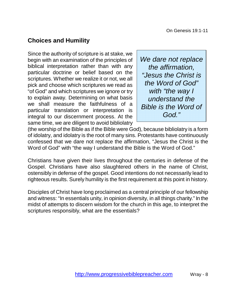### **Choices and Humility**

Since the authority of scripture is at stake, we begin with an examination of the principles of biblical interpretation rather than with any particular doctrine or belief based on the scriptures. Whether we realize it or not, we all pick and choose which scriptures we read as "of God" and which scriptures we ignore or try to explain away. Determining on what basis we shall measure the faithfulness of a particular translation or interpretation is integral to our discernment process. At the same time, we are diligent to avoid bibliolatry

We dare not replace the affirmation, "Jesus the Christ is the Word of God" with "the way I understand the Bible is the Word of God."

(the worship of the Bible as if the Bible were God), because bibliolatry is a form of idolatry, and idolatry is the root of many sins. Protestants have continuously confessed that we dare not replace the affirmation, "Jesus the Christ is the Word of God" with "the way I understand the Bible is the Word of God."

Christians have given their lives throughout the centuries in defense of the Gospel. Christians have also slaughtered others in the name of Christ, ostensibly in defense of the gospel. Good intentions do not necessarily lead to righteous results. Surely humility is the first requirement at this point in history.

Disciples of Christ have long proclaimed as a central principle of our fellowship and witness: "In essentials unity, in opinion diversity, in all things charity." In the midst of attempts to discern wisdom for the church in this age, to interpret the scriptures responsibly, what are the essentials?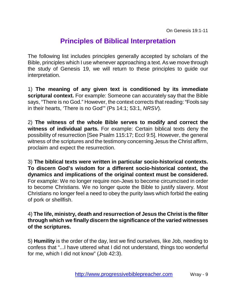## **Principles of Biblical Interpretation**

The following list includes principles generally accepted by scholars of the Bible, principles which I use whenever approaching a text. As we move through the study of Genesis 19, we will return to these principles to guide our interpretation.

1) **The meaning of any given text is conditioned by its immediate scriptural context.** For example: Someone can accurately say that the Bible says, "There is no God." However, the context corrects that reading: "Fools say in their hearts, 'There is no God'" (Ps 14:1; 53:1, NRSV).

2) **The witness of the whole Bible serves to modify and correct the witness of individual parts.** For example: Certain biblical texts deny the possibility of resurrection [See Psalm 115:17; Eccl 9:5]. However, the general witness of the scriptures and the testimony concerning Jesus the Christ affirm, proclaim and expect the resurrection.

3) **The biblical texts were written in particular socio-historical contexts. To discern God's wisdom for a different socio-historical context, the dynamics and implications of the original context must be considered.** For example: We no longer require non-Jews to become circumcised in order to become Christians. We no longer quote the Bible to justify slavery. Most Christians no longer feel a need to obey the purity laws which forbid the eating of pork or shellfish.

4) **The life, ministry, death and resurrection of Jesus the Christ is the filter through which we finally discern the significance of the varied witnesses of the scriptures.**

5) **Humility** is the order of the day, lest we find ourselves, like Job, needing to confess that "...I have uttered what I did not understand, things too wonderful for me, which I did not know" (Job 42:3).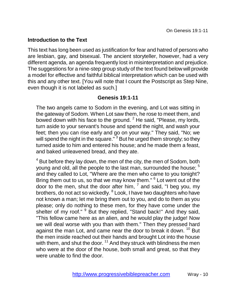#### **Introduction to the Text**

This text has long been used as justification for fear and hatred of persons who are lesbian, gay, and bisexual. The ancient storyteller, however, had a very different agenda, an agenda frequently lost in misinterpretation and prejudice. The suggestions for a nine-step group study of the text found below will provide a model for effective and faithful biblical interpretation which can be used with this and any other text. [You will note that I count the Postscript as Step Nine, even though it is not labeled as such.]

#### **Genesis 19:1-11**

The two angels came to Sodom in the evening, and Lot was sitting in the gateway of Sodom. When Lot saw them, he rose to meet them, and bowed down with his face to the ground.  $2$  He said, "Please, my lords, turn aside to your servant's house and spend the night, and wash your feet; then you can rise early and go on your way." They said, "No; we will spend the night in the square." $3$  But he urged them strongly; so they turned aside to him and entered his house; and he made them a feast, and baked unleavened bread, and they ate.

 $4$  But before they lay down, the men of the city, the men of Sodom, both young and old, all the people to the last man, surrounded the house; <sup>5</sup> and they called to Lot, "Where are the men who came to you tonight? Bring them out to us, so that we may know them." <sup>6</sup> Lot went out of the door to the men, shut the door after him,  $<sup>7</sup>$  and said, "I beg you, my</sup> brothers, do not act so wickedly. <sup>8</sup> Look, I have two daughters who have not known a man; let me bring them out to you, and do to them as you please; only do nothing to these men, for they have come under the shelter of my roof." <sup>9</sup> But they replied, "Stand back!" And they said, "This fellow came here as an alien, and he would play the judge! Now we will deal worse with you than with them." Then they pressed hard against the man Lot, and came near the door to break it down. <sup>10</sup> But the men inside reached out their hands and brought Lot into the house with them, and shut the door.  $11$  And they struck with blindness the men who were at the door of the house, both small and great, so that they were unable to find the door.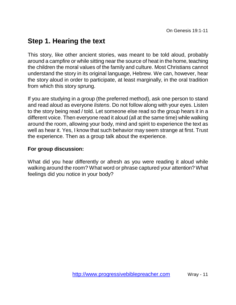## **Step 1. Hearing the text**

This story, like other ancient stories, was meant to be told aloud, probably around a campfire or while sitting near the source of heat in the home, teaching the children the moral values of the family and culture. Most Christians cannot understand the story in its original language, Hebrew. We can, however, hear the story aloud in order to participate, at least marginally, in the oral tradition from which this story sprung.

If you are studying in a group (the preferred method), ask one person to stand and read aloud as everyone listens. Do not follow along with your eyes. Listen to the story being read / told. Let someone else read so the group hears it in a different voice. Then everyone read it aloud (all at the same time) while walking around the room, allowing your body, mind and spirit to experience the text as well as hear it. Yes, I know that such behavior may seem strange at first. Trust the experience. Then as a group talk about the experience.

#### **For group discussion:**

What did you hear differently or afresh as you were reading it aloud while walking around the room? What word or phrase captured your attention? What feelings did you notice in your body?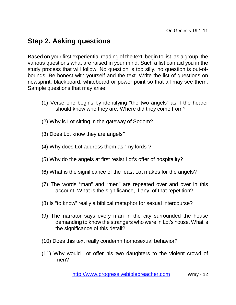## **Step 2. Asking questions**

Based on your first experiential reading of the text, begin to list, as a group, the various questions what are raised in your mind. Such a list can aid you in the study process that will follow. No question is too silly, no question is out-ofbounds. Be honest with yourself and the text. Write the list of questions on newsprint, blackboard, whiteboard or power-point so that all may see them. Sample questions that may arise:

- (1) Verse one begins by identifying "the two angels" as if the hearer should know who they are. Where did they come from?
- (2) Why is Lot sitting in the gateway of Sodom?
- (3) Does Lot know they are angels?
- (4) Why does Lot address them as "my lords"?
- (5) Why do the angels at first resist Lot's offer of hospitality?
- (6) What is the significance of the feast Lot makes for the angels?
- (7) The words "man" and "men" are repeated over and over in this account. What is the significance, if any, of that repetition?
- (8) Is "to know" really a biblical metaphor for sexual intercourse?
- (9) The narrator says every man in the city surrounded the house demanding to know the strangers who were in Lot's house. What is the significance of this detail?
- (10) Does this text really condemn homosexual behavior?
- (11) Why would Lot offer his two daughters to the violent crowd of men?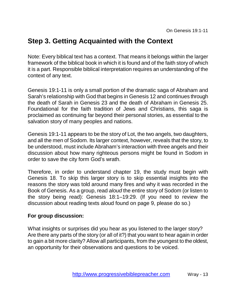## **Step 3. Getting Acquainted with the Context**

Note: Every biblical text has a context. That means it belongs within the larger framework of the biblical book in which it is found and of the faith story of which it is a part. Responsible biblical interpretation requires an understanding of the context of any text.

Genesis 19:1-11 is only a small portion of the dramatic saga of Abraham and Sarah's relationship with God that begins in Genesis 12 and continues through the death of Sarah in Genesis 23 and the death of Abraham in Genesis 25. Foundational for the faith tradition of Jews and Christians, this saga is proclaimed as continuing far beyond their personal stories, as essential to the salvation story of many peoples and nations.

Genesis 19:1-11 appears to be the story of Lot, the two angels, two daughters, and all the men of Sodom. Its larger context, however, reveals that the story, to be understood, must include Abraham's interaction with three angels and their discussion about how many righteous persons might be found in Sodom in order to save the city form God's wrath.

Therefore, in order to understand chapter 19, the study must begin with Genesis 18. To skip this larger story is to skip essential insights into the reasons the story was told around many fires and why it was recorded in the Book of Genesis. As a group, read aloud the entire story of Sodom (or listen to the story being read): Genesis 18:1–19:29. (If you need to review the discussion about reading texts aloud found on page 9, please do so.)

#### **For group discussion:**

What insights or surprises did you hear as you listened to the larger story? Are there any parts of the story (or all of it?) that you want to hear again in order to gain a bit more clarity? Allow all participants, from the youngest to the oldest, an opportunity for their observations and questions to be voiced.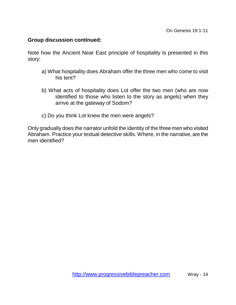#### **Group discussion continued:**

Note how the Ancient Near East principle of hospitality is presented in this story:

- a) What hospitality does Abraham offer the three men who come to visit his tent?
- b) What acts of hospitality does Lot offer the two men (who are now identified to those who listen to the story as angels) when they arrive at the gateway of Sodom?
- c) Do you think Lot knew the men were angels?

Only gradually does the narrator unfold the identity of the three men who visited Abraham. Practice your textual detective skills. Where, in the narrative, are the men identified?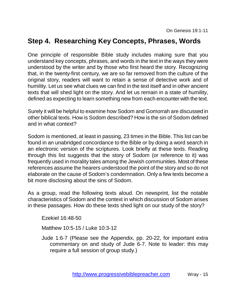## **Step 4. Researching Key Concepts, Phrases, Words**

One principle of responsible Bible study includes making sure that you understand key concepts, phrases, and words in the text in the ways they were understood by the writer and by those who first heard the story. Recognizing that, in the twenty-first century, we are so far removed from the culture of the original story, readers will want to retain a sense of detective work and of humility. Let us see what clues we can find in the text itself and in other ancient texts that will shed light on the story. And let us remain in a state of humility, defined as expecting to learn something new from each encounter with the text.

Surely it will be helpful to examine how Sodom and Gomorrah are discussed in other biblical texts. How is Sodom described? How is the sin of Sodom defined and in what context?

Sodom is mentioned, at least in passing, 23 times in the Bible. This list can be found in an unabridged concordance to the Bible or by doing a word search in an electronic version of the scriptures. Look briefly at these texts. Reading through this list suggests that the story of Sodom (or reference to it) was frequently used in morality tales among the Jewish communities. Most of these references assume the hearers understood the point of the story and so do not elaborate on the cause of Sodom's condemnation. Only a few texts become a bit more disclosing about the sins of Sodom.

As a group, read the following texts aloud. On newsprint, list the notable characteristics of Sodom and the context in which discussion of Sodom arises in these passages. How do these texts shed light on our study of the story?

Ezekiel 16:48-50

Matthew 10:5-15 / Luke 10:3-12

 Jude 1:6-7 (Please see the Appendix, pp. 20-22, for important extra commentary on and study of Jude 6-7. Note to leader: this may require a full session of group study.)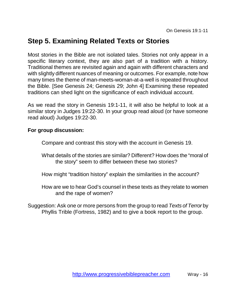## **Step 5. Examining Related Texts or Stories**

Most stories in the Bible are not isolated tales. Stories not only appear in a specific literary context, they are also part of a tradition with a history. Traditional themes are revisited again and again with different characters and with slightly different nuances of meaning or outcomes. For example, note how many times the theme of man-meets-woman-at-a-well is repeated throughout the Bible. [See Genesis 24; Genesis 29; John 4] Examining these repeated traditions can shed light on the significance of each individual account.

As we read the story in Genesis 19:1-11, it will also be helpful to look at a similar story in Judges 19:22-30. In your group read aloud (or have someone read aloud) Judges 19:22-30.

#### **For group discussion:**

Compare and contrast this story with the account in Genesis 19.

What details of the stories are similar? Different? How does the "moral of the story" seem to differ between these two stories?

- How might "tradition history" explain the similarities in the account?
- How are we to hear God's counsel in these texts as they relate to women and the rape of women?

Suggestion: Ask one or more persons from the group to read Texts of Terror by Phyllis Trible (Fortress, 1982) and to give a book report to the group.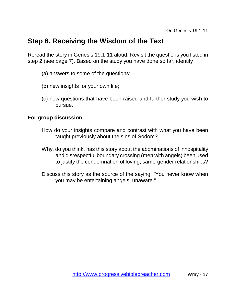## **Step 6. Receiving the Wisdom of the Text**

Reread the story in Genesis 19:1-11 aloud. Revisit the questions you listed in step 2 (see page 7). Based on the study you have done so far, identify

- (a) answers to some of the questions;
- (b) new insights for your own life;
- (c) new questions that have been raised and further study you wish to pursue.

#### **For group discussion:**

- How do your insights compare and contrast with what you have been taught previously about the sins of Sodom?
- Why, do you think, has this story about the abominations of inhospitality and disrespectful boundary crossing (men with angels) been used to justify the condemnation of loving, same-gender relationships?
- Discuss this story as the source of the saying, "You never know when you may be entertaining angels, unaware."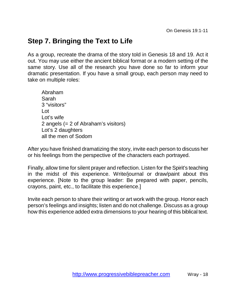## **Step 7. Bringing the Text to Life**

As a group, recreate the drama of the story told in Genesis 18 and 19. Act it out. You may use either the ancient biblical format or a modern setting of the same story. Use all of the research you have done so far to inform your dramatic presentation. If you have a small group, each person may need to take on multiple roles:

 Abraham Sarah 3 "visitors"  $\overline{a}$  Lot's wife 2 angels (= 2 of Abraham's visitors) Lot's 2 daughters all the men of Sodom

After you have finished dramatizing the story, invite each person to discuss her or his feelings from the perspective of the characters each portrayed.

Finally, allow time for silent prayer and reflection. Listen for the Spirit's teaching in the midst of this experience. Write/journal or draw/paint about this experience. [Note to the group leader: Be prepared with paper, pencils, crayons, paint, etc., to facilitate this experience.]

Invite each person to share their writing or art work with the group. Honor each person's feelings and insights; listen and do not challenge. Discuss as a group how this experience added extra dimensions to your hearing of this biblical text.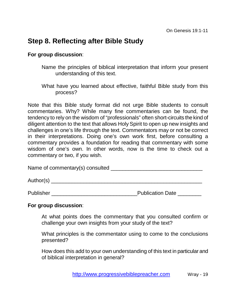## **Step 8. Reflecting after Bible Study**

#### **For group discussion**:

- Name the principles of biblical interpretation that inform your present understanding of this text.
- What have you learned about effective, faithful Bible study from this process?

Note that this Bible study format did not urge Bible students to consult commentaries. Why? While many fine commentaries can be found, the tendency to rely on the wisdom of "professionals" often short-circuits the kind of diligent attention to the text that allows Holy Spirit to open up new insights and challenges in one's life through the text. Commentators may or not be correct in their interpretations. Doing one's own work first, before consulting a commentary provides a foundation for reading that commentary with some wisdom of one's own. In other words, now is the time to check out a commentary or two, if you wish.

Name of commentary(s) consulted **Name of commentary** (s) and  $\blacksquare$ 

Author(s) \_\_\_\_\_\_\_\_\_\_\_\_\_\_\_\_\_\_\_\_\_\_\_\_\_\_\_\_\_\_\_\_\_\_\_\_\_\_\_\_\_\_\_\_\_\_\_\_\_\_\_

Publisher \_\_\_\_\_\_\_\_\_\_\_\_\_\_\_\_\_\_\_\_\_\_\_\_\_\_\_\_\_Publication Date \_\_\_\_\_\_\_\_

#### **For group discussion**:

At what points does the commentary that you consulted confirm or challenge your own insights from your study of the text?

What principles is the commentator using to come to the conclusions presented?

How does this add to your own understanding of this text in particular and of biblical interpretation in general?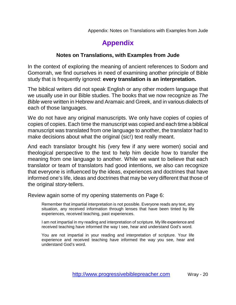## **Appendix**

#### **Notes on Translations, with Examples from Jude**

In the context of exploring the meaning of ancient references to Sodom and Gomorrah, we find ourselves in need of examining another principle of Bible study that is frequently ignored: **every translation is an interpretation.** 

The biblical writers did not speak English or any other modern language that we usually use in our Bible studies. The books that we now recognize as The Bible were written in Hebrew and Aramaic and Greek, and in various dialects of each of those languages.

We do not have any original manuscripts. We only have copies of copies of copies of copies. Each time the manuscript was copied and each time a biblical manuscript was translated from one language to another, the translator had to make decisions about what the original (sic!) text really meant.

And each translator brought his (very few if any were women) social and theological perspective to the text to help him decide how to transfer the meaning from one language to another. While we want to believe that each translator or team of translators had good intentions, we also can recognize that everyone is influenced by the ideas, experiences and doctrines that have informed one's life, ideas and doctrines that may be very different that those of the original story-tellers.

Review again some of my opening statements on Page 6:

Remember that impartial interpretation is not possible. Everyone reads any text, any situation, any received information through lenses that have been tinted by life experiences, received teaching, past experiences.

I am not impartial in my reading and interpretation of scripture. My life experience and received teaching have informed the way I see, hear and understand God's word.

You are not impartial in your reading and interpretation of scripture. Your life experience and received teaching have informed the way you see, hear and understand God's word.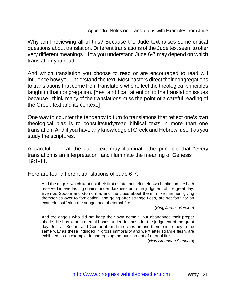Why am I reviewing all of this? Because the Jude text raises some critical questions about translation. Different translations of the Jude text seem to offer very different meanings. How you understand Jude 6-7 may depend on which translation you read.

And which translation you choose to read or are encouraged to read will influence how you understand the text. Most pastors direct their congregations to translations that come from translators who reflect the theological principles taught in that congregation. [Yes, and I call attention to the translation issues because I think many of the translations miss the point of a careful reading of the Greek text and its context.]

One way to counter the tendency to turn to translations that reflect one's own theological bias is to consult/study/read biblical texts in more than one translation. And if you have any knowledge of Greek and Hebrew, use it as you study the scriptures.

A careful look at the Jude text may illuminate the principle that "every translation is an interpretation" and illuminate the meaning of Genesis 19:1-11.

Here are four different translations of Jude 6-7:

And the angels which kept not their first estate, but left their own habitation, he hath reserved in everlasting chains under darkness unto the judgment of the great day. Even as Sodom and Gomorrha, and the cities about them in like manner, giving themselves over to fornication, and going after strange flesh, are set forth for an example, suffering the vengeance of eternal fire.

(King James Version)

And the angels who did not keep their own domain, but abandoned their proper abode, He has kept in eternal bonds under darkness for the judgment of the great day. Just as Sodom and Gomorrah and the cities around them, since they in the same way as these indulged in gross immorality and went after strange flesh, are exhibited as an example, in undergoing the punishment of eternal fire.

(New American Standard)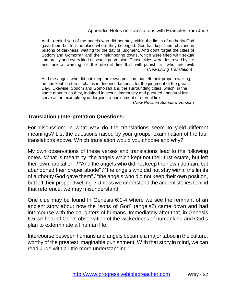And I remind you of the angels who did not stay within the limits of authority God gave them but left the place where they belonged. God has kept them chained in prisons of darkness, waiting for the day of judgment. And don't forget the cities of Sodom and Gomorrah and their neighboring towns, which were filled with sexual immorality and every kind of sexual perversion. Those cities were destroyed by fire and are a warning of the eternal fire that will punish all who are evil. (New Living Translation)

And the angels who did not keep their own position, but left their proper dwelling, he has kept in eternal chains in deepest darkness for the judgment of the great Day. Likewise, Sodom and Gomorrah and the surrounding cities, which, in the same manner as they, indulged in sexual immorality and pursued unnatural lust, serve as an example by undergoing a punishment of eternal fire. (New Revised Standard Version)

#### **Translation / Interpretation Questions:**

For discussion: In what way do the translations seem to yield different meanings? List the questions raised by your groups' examination of the four translations above. Which translation would you choose and why?

My own observations of these verses and translations lead to the following notes. What is meant by "the angels which kept not their first estate, but left their own habitation" / "And the angels who did not keep their own domain, but abandoned their proper abode" / "the angels who did not stay within the limits of authority God gave them" / "the angels who did not keep their own position, but left their proper dwelling"? Unless we understand the ancient stories behind that reference, we may misunderstand.

One clue may be found In Genesis 6:1-4 where we see the remnant of an ancient story about how the "sons of God" (angels?) came down and had intercourse with the daughters of humans. Immediately after that, in Genesis 6:5 we hear of God's observation of the wickedness of humankind and God's plan to exterminate all human life.

Intercourse between humans and angels became a major taboo in the culture, worthy of the greatest imaginable punishment. With that story in mind, we can read Jude with a little more understanding.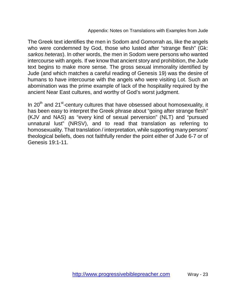The Greek text identifies the men in Sodom and Gomorrah as, like the angels who were condemned by God, those who lusted after "strange flesh" (Gk: sarkos heteras). In other words, the men in Sodom were persons who wanted intercourse with angels. If we know that ancient story and prohibition, the Jude text begins to make more sense. The gross sexual immorality identified by Jude (and which matches a careful reading of Genesis 19) was the desire of humans to have intercourse with the angels who were visiting Lot. Such an abomination was the prime example of lack of the hospitality required by the ancient Near East cultures, and worthy of God's worst judgment.

In  $20<sup>th</sup>$  and  $21<sup>st</sup>$ -century cultures that have obsessed about homosexuality, it has been easy to interpret the Greek phrase about "going after strange flesh" (KJV and NAS) as "every kind of sexual perversion" (NLT) and "pursued unnatural lust" (NRSV), and to read that translation as referring to homosexuality. That translation / interpretation, while supporting many persons' theological beliefs, does not faithfully render the point either of Jude 6-7 or of Genesis 19:1-11.